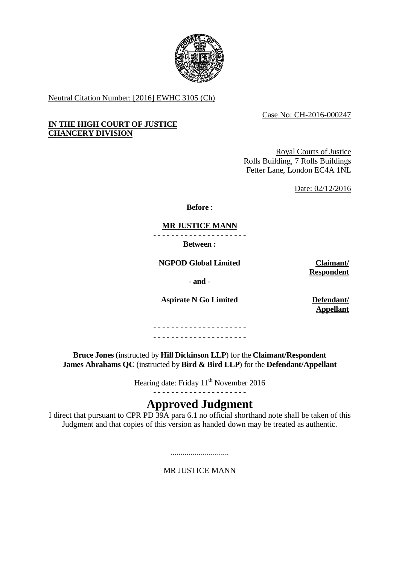

Neutral Citation Number: [2016] EWHC 3105 (Ch)

Case No: CH-2016-000247

# **IN THE HIGH COURT OF JUSTICE CHANCERY DIVISION**

Royal Courts of Justice Rolls Building, 7 Rolls Buildings Fetter Lane, London EC4A 1NL

Date: 02/12/2016

**Before** :

# **MR JUSTICE MANN**

- - - - - - - - - - - - - - - - - - - - -

**Between :**

**NGPOD Global Limited Claimant/**

**Respondent**

**- and -**

**Aspirate N Go Limited Defendant/**

**Appellant**

- - - - - - - - - - - - - - - - - - - - - - - - - - - - - - - - - - - - - - - - - -

**Bruce Jones** (instructed by **Hill Dickinson LLP**) for the **Claimant/Respondent James Abrahams QC** (instructed by **Bird & Bird LLP**) for the **Defendant/Appellant**

Hearing date: Friday 11<sup>th</sup> November 2016

# **Approved Judgment**

I direct that pursuant to CPR PD 39A para 6.1 no official shorthand note shall be taken of this Judgment and that copies of this version as handed down may be treated as authentic.

> ............................. MR JUSTICE MANN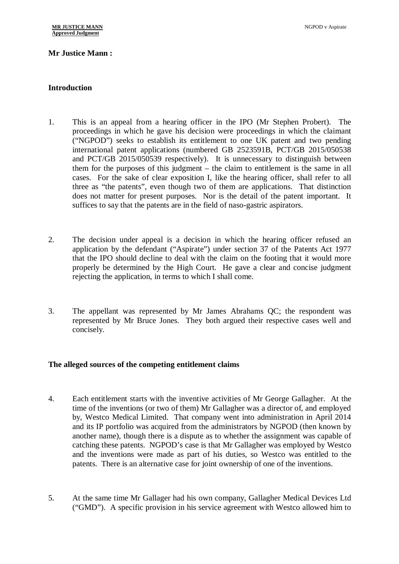### **Mr Justice Mann :**

#### **Introduction**

- 1. This is an appeal from a hearing officer in the IPO (Mr Stephen Probert). The proceedings in which he gave his decision were proceedings in which the claimant ("NGPOD") seeks to establish its entitlement to one UK patent and two pending international patent applications (numbered GB 2523591B, PCT/GB 2015/050538 and PCT/GB 2015/050539 respectively). It is unnecessary to distinguish between them for the purposes of this judgment – the claim to entitlement is the same in all cases. For the sake of clear exposition I, like the hearing officer, shall refer to all three as "the patents", even though two of them are applications. That distinction does not matter for present purposes. Nor is the detail of the patent important. It suffices to say that the patents are in the field of naso-gastric aspirators.
- 2. The decision under appeal is a decision in which the hearing officer refused an application by the defendant ("Aspirate") under section 37 of the Patents Act 1977 that the IPO should decline to deal with the claim on the footing that it would more properly be determined by the High Court. He gave a clear and concise judgment rejecting the application, in terms to which I shall come.
- 3. The appellant was represented by Mr James Abrahams QC; the respondent was represented by Mr Bruce Jones. They both argued their respective cases well and concisely.

### **The alleged sources of the competing entitlement claims**

- 4. Each entitlement starts with the inventive activities of Mr George Gallagher. At the time of the inventions (or two of them) Mr Gallagher was a director of, and employed by, Westco Medical Limited. That company went into administration in April 2014 and its IP portfolio was acquired from the administrators by NGPOD (then known by another name), though there is a dispute as to whether the assignment was capable of catching these patents. NGPOD's case is that Mr Gallagher was employed by Westco and the inventions were made as part of his duties, so Westco was entitled to the patents. There is an alternative case for joint ownership of one of the inventions.
- 5. At the same time Mr Gallager had his own company, Gallagher Medical Devices Ltd ("GMD"). A specific provision in his service agreement with Westco allowed him to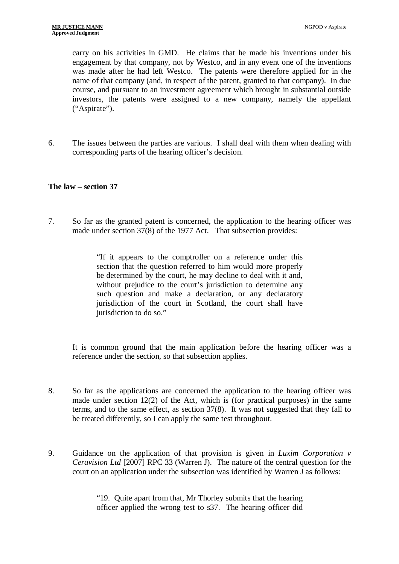carry on his activities in GMD. He claims that he made his inventions under his engagement by that company, not by Westco, and in any event one of the inventions was made after he had left Westco. The patents were therefore applied for in the name of that company (and, in respect of the patent, granted to that company). In due course, and pursuant to an investment agreement which brought in substantial outside investors, the patents were assigned to a new company, namely the appellant ("Aspirate").

6. The issues between the parties are various. I shall deal with them when dealing with corresponding parts of the hearing officer's decision.

### **The law – section 37**

7. So far as the granted patent is concerned, the application to the hearing officer was made under section 37(8) of the 1977 Act. That subsection provides:

> "If it appears to the comptroller on a reference under this section that the question referred to him would more properly be determined by the court, he may decline to deal with it and, without prejudice to the court's jurisdiction to determine any such question and make a declaration, or any declaratory jurisdiction of the court in Scotland, the court shall have jurisdiction to do so."

It is common ground that the main application before the hearing officer was a reference under the section, so that subsection applies.

- 8. So far as the applications are concerned the application to the hearing officer was made under section 12(2) of the Act, which is (for practical purposes) in the same terms, and to the same effect, as section 37(8). It was not suggested that they fall to be treated differently, so I can apply the same test throughout.
- 9. Guidance on the application of that provision is given in *Luxim Corporation v Ceravision Ltd* [2007] RPC 33 (Warren J). The nature of the central question for the court on an application under the subsection was identified by Warren J as follows:

"19. Quite apart from that, Mr Thorley submits that the hearing officer applied the wrong test to s37. The hearing officer did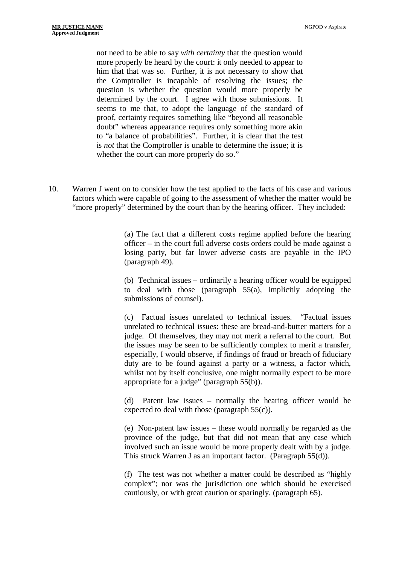not need to be able to say *with certainty* that the question would more properly be heard by the court: it only needed to appear to him that that was so. Further, it is not necessary to show that the Comptroller is incapable of resolving the issues; the question is whether the question would more properly be determined by the court. I agree with those submissions. It seems to me that, to adopt the language of the standard of proof, certainty requires something like "beyond all reasonable doubt" whereas appearance requires only something more akin to "a balance of probabilities". Further, it is clear that the test is *not* that the Comptroller is unable to determine the issue; it is whether the court can more properly do so."

10. Warren J went on to consider how the test applied to the facts of his case and various factors which were capable of going to the assessment of whether the matter would be "more properly" determined by the court than by the hearing officer. They included:

> (a) The fact that a different costs regime applied before the hearing officer – in the court full adverse costs orders could be made against a losing party, but far lower adverse costs are payable in the IPO (paragraph 49).

> (b) Technical issues – ordinarily a hearing officer would be equipped to deal with those (paragraph 55(a), implicitly adopting the submissions of counsel).

> (c) Factual issues unrelated to technical issues. "Factual issues unrelated to technical issues: these are bread-and-butter matters for a judge. Of themselves, they may not merit a referral to the court. But the issues may be seen to be sufficiently complex to merit a transfer, especially, I would observe, if findings of fraud or breach of fiduciary duty are to be found against a party or a witness, a factor which, whilst not by itself conclusive, one might normally expect to be more appropriate for a judge" (paragraph 55(b)).

> (d) Patent law issues – normally the hearing officer would be expected to deal with those (paragraph 55(c)).

> (e) Non-patent law issues – these would normally be regarded as the province of the judge, but that did not mean that any case which involved such an issue would be more properly dealt with by a judge. This struck Warren J as an important factor. (Paragraph 55(d)).

> (f) The test was not whether a matter could be described as "highly complex"; nor was the jurisdiction one which should be exercised cautiously, or with great caution or sparingly. (paragraph 65).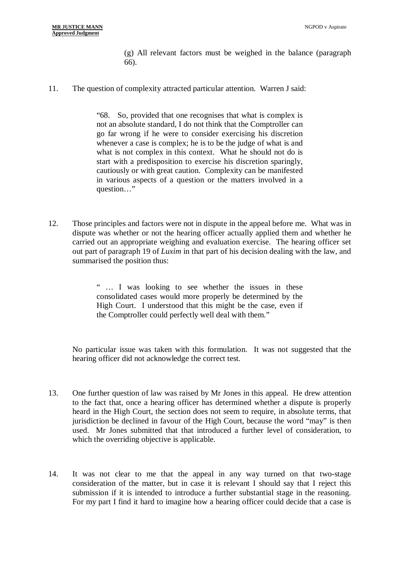(g) All relevant factors must be weighed in the balance (paragraph 66).

11. The question of complexity attracted particular attention. Warren J said:

"68. So, provided that one recognises that what is complex is not an absolute standard, I do not think that the Comptroller can go far wrong if he were to consider exercising his discretion whenever a case is complex; he is to be the judge of what is and what is not complex in this context. What he should not do is start with a predisposition to exercise his discretion sparingly, cautiously or with great caution. Complexity can be manifested in various aspects of a question or the matters involved in a question…"

12. Those principles and factors were not in dispute in the appeal before me. What was in dispute was whether or not the hearing officer actually applied them and whether he carried out an appropriate weighing and evaluation exercise. The hearing officer set out part of paragraph 19 of *Luxim* in that part of his decision dealing with the law, and summarised the position thus:

> " … I was looking to see whether the issues in these consolidated cases would more properly be determined by the High Court. I understood that this might be the case, even if the Comptroller could perfectly well deal with them."

No particular issue was taken with this formulation. It was not suggested that the hearing officer did not acknowledge the correct test.

- 13. One further question of law was raised by Mr Jones in this appeal. He drew attention to the fact that, once a hearing officer has determined whether a dispute is properly heard in the High Court, the section does not seem to require, in absolute terms, that jurisdiction be declined in favour of the High Court, because the word "may" is then used. Mr Jones submitted that that introduced a further level of consideration, to which the overriding objective is applicable.
- 14. It was not clear to me that the appeal in any way turned on that two-stage consideration of the matter, but in case it is relevant I should say that I reject this submission if it is intended to introduce a further substantial stage in the reasoning. For my part I find it hard to imagine how a hearing officer could decide that a case is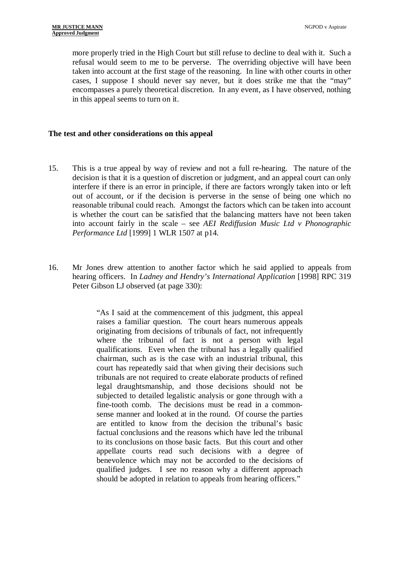more properly tried in the High Court but still refuse to decline to deal with it. Such a refusal would seem to me to be perverse. The overriding objective will have been taken into account at the first stage of the reasoning. In line with other courts in other cases, I suppose I should never say never, but it does strike me that the "may" encompasses a purely theoretical discretion. In any event, as I have observed, nothing in this appeal seems to turn on it.

### **The test and other considerations on this appeal**

- 15. This is a true appeal by way of review and not a full re-hearing. The nature of the decision is that it is a question of discretion or judgment, and an appeal court can only interfere if there is an error in principle, if there are factors wrongly taken into or left out of account, or if the decision is perverse in the sense of being one which no reasonable tribunal could reach. Amongst the factors which can be taken into account is whether the court can be satisfied that the balancing matters have not been taken into account fairly in the scale – see *AEI Rediffusion Music Ltd v Phonographic Performance Ltd* [1999] 1 WLR 1507 at p14.
- 16. Mr Jones drew attention to another factor which he said applied to appeals from hearing officers. In *Ladney and Hendry's International Application* [1998] RPC 319 Peter Gibson LJ observed (at page 330):

"As I said at the commencement of this judgment, this appeal raises a familiar question. The court hears numerous appeals originating from decisions of tribunals of fact, not infrequently where the tribunal of fact is not a person with legal qualifications. Even when the tribunal has a legally qualified chairman, such as is the case with an industrial tribunal, this court has repeatedly said that when giving their decisions such tribunals are not required to create elaborate products of refined legal draughtsmanship, and those decisions should not be subjected to detailed legalistic analysis or gone through with a fine-tooth comb. The decisions must be read in a commonsense manner and looked at in the round. Of course the parties are entitled to know from the decision the tribunal's basic factual conclusions and the reasons which have led the tribunal to its conclusions on those basic facts. But this court and other appellate courts read such decisions with a degree of benevolence which may not be accorded to the decisions of qualified judges. I see no reason why a different approach should be adopted in relation to appeals from hearing officers."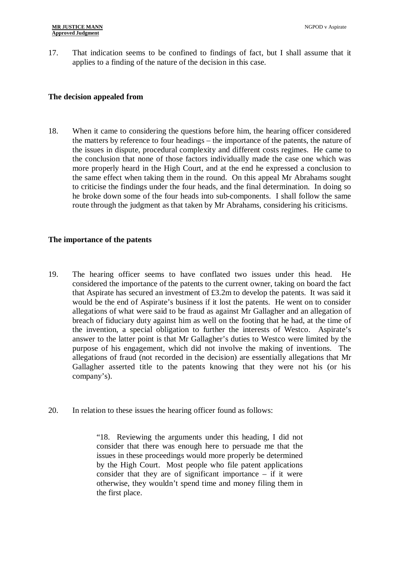17. That indication seems to be confined to findings of fact, but I shall assume that it applies to a finding of the nature of the decision in this case.

### **The decision appealed from**

18. When it came to considering the questions before him, the hearing officer considered the matters by reference to four headings – the importance of the patents, the nature of the issues in dispute, procedural complexity and different costs regimes. He came to the conclusion that none of those factors individually made the case one which was more properly heard in the High Court, and at the end he expressed a conclusion to the same effect when taking them in the round. On this appeal Mr Abrahams sought to criticise the findings under the four heads, and the final determination. In doing so he broke down some of the four heads into sub-components. I shall follow the same route through the judgment as that taken by Mr Abrahams, considering his criticisms.

# **The importance of the patents**

- 19. The hearing officer seems to have conflated two issues under this head. He considered the importance of the patents to the current owner, taking on board the fact that Aspirate has secured an investment of £3.2m to develop the patents. It was said it would be the end of Aspirate's business if it lost the patents. He went on to consider allegations of what were said to be fraud as against Mr Gallagher and an allegation of breach of fiduciary duty against him as well on the footing that he had, at the time of the invention, a special obligation to further the interests of Westco. Aspirate's answer to the latter point is that Mr Gallagher's duties to Westco were limited by the purpose of his engagement, which did not involve the making of inventions. The allegations of fraud (not recorded in the decision) are essentially allegations that Mr Gallagher asserted title to the patents knowing that they were not his (or his company's).
- 20. In relation to these issues the hearing officer found as follows:

"18. Reviewing the arguments under this heading, I did not consider that there was enough here to persuade me that the issues in these proceedings would more properly be determined by the High Court. Most people who file patent applications consider that they are of significant importance – if it were otherwise, they wouldn't spend time and money filing them in the first place.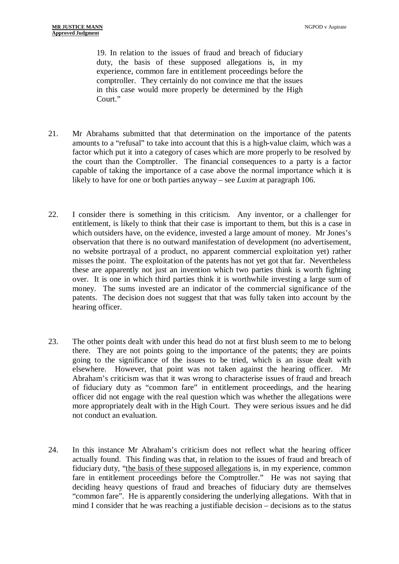19. In relation to the issues of fraud and breach of fiduciary duty, the basis of these supposed allegations is, in my experience, common fare in entitlement proceedings before the comptroller. They certainly do not convince me that the issues in this case would more properly be determined by the High Court."

- 21. Mr Abrahams submitted that that determination on the importance of the patents amounts to a "refusal" to take into account that this is a high-value claim, which was a factor which put it into a category of cases which are more properly to be resolved by the court than the Comptroller. The financial consequences to a party is a factor capable of taking the importance of a case above the normal importance which it is likely to have for one or both parties anyway – see *Luxim* at paragraph 106.
- 22. I consider there is something in this criticism. Any inventor, or a challenger for entitlement, is likely to think that their case is important to them, but this is a case in which outsiders have, on the evidence, invested a large amount of money. Mr Jones's observation that there is no outward manifestation of development (no advertisement, no website portrayal of a product, no apparent commercial exploitation yet) rather misses the point. The exploitation of the patents has not yet got that far. Nevertheless these are apparently not just an invention which two parties think is worth fighting over. It is one in which third parties think it is worthwhile investing a large sum of money. The sums invested are an indicator of the commercial significance of the patents. The decision does not suggest that that was fully taken into account by the hearing officer.
- 23. The other points dealt with under this head do not at first blush seem to me to belong there. They are not points going to the importance of the patents; they are points going to the significance of the issues to be tried, which is an issue dealt with elsewhere. However, that point was not taken against the hearing officer. Mr Abraham's criticism was that it was wrong to characterise issues of fraud and breach of fiduciary duty as "common fare" in entitlement proceedings, and the hearing officer did not engage with the real question which was whether the allegations were more appropriately dealt with in the High Court. They were serious issues and he did not conduct an evaluation.
- 24. In this instance Mr Abraham's criticism does not reflect what the hearing officer actually found. This finding was that, in relation to the issues of fraud and breach of fiduciary duty, "the basis of these supposed allegations is, in my experience, common fare in entitlement proceedings before the Comptroller." He was not saying that deciding heavy questions of fraud and breaches of fiduciary duty are themselves "common fare". He is apparently considering the underlying allegations. With that in mind I consider that he was reaching a justifiable decision – decisions as to the status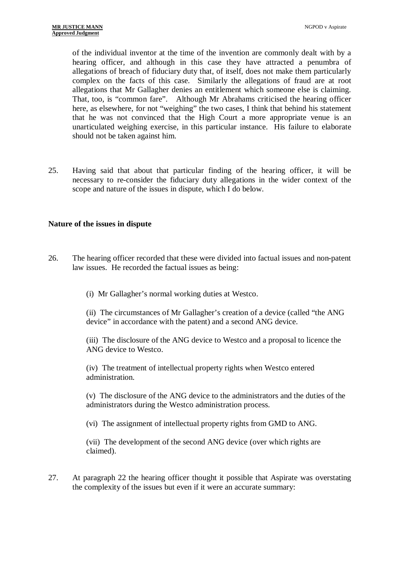of the individual inventor at the time of the invention are commonly dealt with by a hearing officer, and although in this case they have attracted a penumbra of allegations of breach of fiduciary duty that, of itself, does not make them particularly complex on the facts of this case. Similarly the allegations of fraud are at root allegations that Mr Gallagher denies an entitlement which someone else is claiming. That, too, is "common fare". Although Mr Abrahams criticised the hearing officer here, as elsewhere, for not "weighing" the two cases, I think that behind his statement that he was not convinced that the High Court a more appropriate venue is an unarticulated weighing exercise, in this particular instance. His failure to elaborate should not be taken against him.

25. Having said that about that particular finding of the hearing officer, it will be necessary to re-consider the fiduciary duty allegations in the wider context of the scope and nature of the issues in dispute, which I do below.

#### **Nature of the issues in dispute**

- 26. The hearing officer recorded that these were divided into factual issues and non-patent law issues. He recorded the factual issues as being:
	- (i) Mr Gallagher's normal working duties at Westco.

(ii) The circumstances of Mr Gallagher's creation of a device (called "the ANG device" in accordance with the patent) and a second ANG device.

(iii) The disclosure of the ANG device to Westco and a proposal to licence the ANG device to Westco.

(iv) The treatment of intellectual property rights when Westco entered administration.

(v) The disclosure of the ANG device to the administrators and the duties of the administrators during the Westco administration process.

(vi) The assignment of intellectual property rights from GMD to ANG.

(vii) The development of the second ANG device (over which rights are claimed).

27. At paragraph 22 the hearing officer thought it possible that Aspirate was overstating the complexity of the issues but even if it were an accurate summary: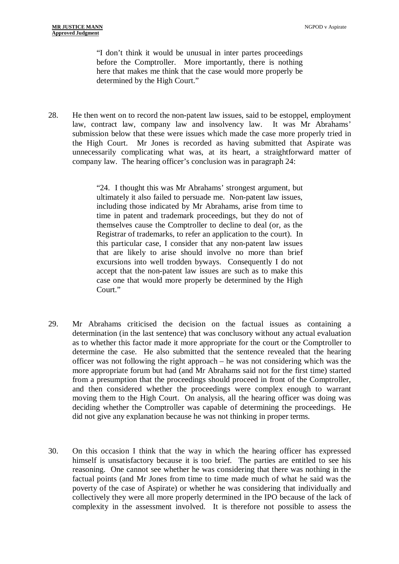"I don't think it would be unusual in inter partes proceedings before the Comptroller. More importantly, there is nothing here that makes me think that the case would more properly be determined by the High Court."

28. He then went on to record the non-patent law issues, said to be estoppel, employment law, contract law, company law and insolvency law. It was Mr Abrahams' submission below that these were issues which made the case more properly tried in the High Court. Mr Jones is recorded as having submitted that Aspirate was unnecessarily complicating what was, at its heart, a straightforward matter of company law. The hearing officer's conclusion was in paragraph 24:

> "24. I thought this was Mr Abrahams' strongest argument, but ultimately it also failed to persuade me. Non-patent law issues, including those indicated by Mr Abrahams, arise from time to time in patent and trademark proceedings, but they do not of themselves cause the Comptroller to decline to deal (or, as the Registrar of trademarks, to refer an application to the court). In this particular case, I consider that any non-patent law issues that are likely to arise should involve no more than brief excursions into well trodden byways. Consequently I do not accept that the non-patent law issues are such as to make this case one that would more properly be determined by the High Court."

- 29. Mr Abrahams criticised the decision on the factual issues as containing a determination (in the last sentence) that was conclusory without any actual evaluation as to whether this factor made it more appropriate for the court or the Comptroller to determine the case. He also submitted that the sentence revealed that the hearing officer was not following the right approach – he was not considering which was the more appropriate forum but had (and Mr Abrahams said not for the first time) started from a presumption that the proceedings should proceed in front of the Comptroller, and then considered whether the proceedings were complex enough to warrant moving them to the High Court. On analysis, all the hearing officer was doing was deciding whether the Comptroller was capable of determining the proceedings. He did not give any explanation because he was not thinking in proper terms.
- 30. On this occasion I think that the way in which the hearing officer has expressed himself is unsatisfactory because it is too brief. The parties are entitled to see his reasoning. One cannot see whether he was considering that there was nothing in the factual points (and Mr Jones from time to time made much of what he said was the poverty of the case of Aspirate) or whether he was considering that individually and collectively they were all more properly determined in the IPO because of the lack of complexity in the assessment involved. It is therefore not possible to assess the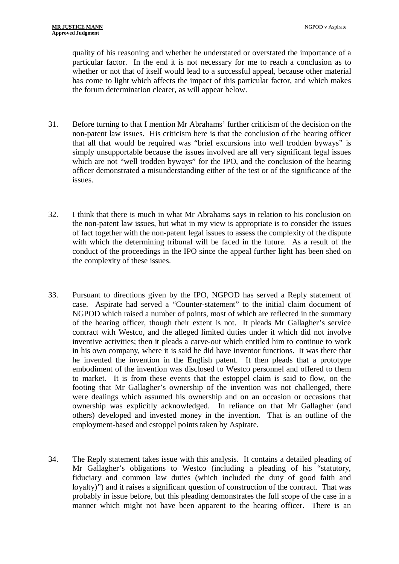quality of his reasoning and whether he understated or overstated the importance of a particular factor. In the end it is not necessary for me to reach a conclusion as to whether or not that of itself would lead to a successful appeal, because other material has come to light which affects the impact of this particular factor, and which makes the forum determination clearer, as will appear below.

- 31. Before turning to that I mention Mr Abrahams' further criticism of the decision on the non-patent law issues. His criticism here is that the conclusion of the hearing officer that all that would be required was "brief excursions into well trodden byways" is simply unsupportable because the issues involved are all very significant legal issues which are not "well trodden byways" for the IPO, and the conclusion of the hearing officer demonstrated a misunderstanding either of the test or of the significance of the issues.
- 32. I think that there is much in what Mr Abrahams says in relation to his conclusion on the non-patent law issues, but what in my view is appropriate is to consider the issues of fact together with the non-patent legal issues to assess the complexity of the dispute with which the determining tribunal will be faced in the future. As a result of the conduct of the proceedings in the IPO since the appeal further light has been shed on the complexity of these issues.
- 33. Pursuant to directions given by the IPO, NGPOD has served a Reply statement of case. Aspirate had served a "Counter-statement" to the initial claim document of NGPOD which raised a number of points, most of which are reflected in the summary of the hearing officer, though their extent is not. It pleads Mr Gallagher's service contract with Westco, and the alleged limited duties under it which did not involve inventive activities; then it pleads a carve-out which entitled him to continue to work in his own company, where it is said he did have inventor functions. It was there that he invented the invention in the English patent. It then pleads that a prototype embodiment of the invention was disclosed to Westco personnel and offered to them to market. It is from these events that the estoppel claim is said to flow, on the footing that Mr Gallagher's ownership of the invention was not challenged, there were dealings which assumed his ownership and on an occasion or occasions that ownership was explicitly acknowledged. In reliance on that Mr Gallagher (and others) developed and invested money in the invention. That is an outline of the employment-based and estoppel points taken by Aspirate.
- 34. The Reply statement takes issue with this analysis. It contains a detailed pleading of Mr Gallagher's obligations to Westco (including a pleading of his "statutory, fiduciary and common law duties (which included the duty of good faith and loyalty)") and it raises a significant question of construction of the contract. That was probably in issue before, but this pleading demonstrates the full scope of the case in a manner which might not have been apparent to the hearing officer. There is an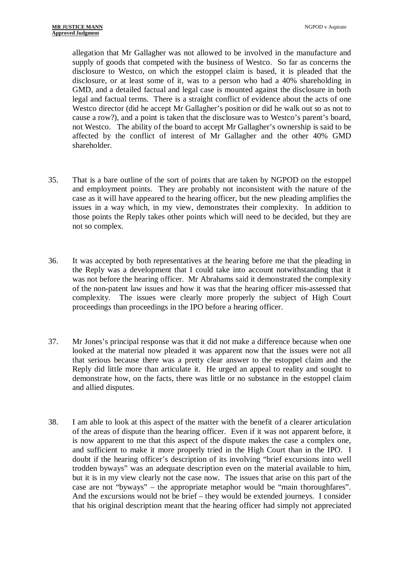allegation that Mr Gallagher was not allowed to be involved in the manufacture and supply of goods that competed with the business of Westco. So far as concerns the disclosure to Westco, on which the estoppel claim is based, it is pleaded that the disclosure, or at least some of it, was to a person who had a 40% shareholding in GMD, and a detailed factual and legal case is mounted against the disclosure in both legal and factual terms. There is a straight conflict of evidence about the acts of one Westco director (did he accept Mr Gallagher's position or did he walk out so as not to cause a row?), and a point is taken that the disclosure was to Westco's parent's board, not Westco. The ability of the board to accept Mr Gallagher's ownership is said to be affected by the conflict of interest of Mr Gallagher and the other 40% GMD shareholder.

- 35. That is a bare outline of the sort of points that are taken by NGPOD on the estoppel and employment points. They are probably not inconsistent with the nature of the case as it will have appeared to the hearing officer, but the new pleading amplifies the issues in a way which, in my view, demonstrates their complexity. In addition to those points the Reply takes other points which will need to be decided, but they are not so complex.
- 36. It was accepted by both representatives at the hearing before me that the pleading in the Reply was a development that I could take into account notwithstanding that it was not before the hearing officer. Mr Abrahams said it demonstrated the complexity of the non-patent law issues and how it was that the hearing officer mis-assessed that complexity. The issues were clearly more properly the subject of High Court proceedings than proceedings in the IPO before a hearing officer.
- 37. Mr Jones's principal response was that it did not make a difference because when one looked at the material now pleaded it was apparent now that the issues were not all that serious because there was a pretty clear answer to the estoppel claim and the Reply did little more than articulate it. He urged an appeal to reality and sought to demonstrate how, on the facts, there was little or no substance in the estoppel claim and allied disputes.
- 38. I am able to look at this aspect of the matter with the benefit of a clearer articulation of the areas of dispute than the hearing officer. Even if it was not apparent before, it is now apparent to me that this aspect of the dispute makes the case a complex one, and sufficient to make it more properly tried in the High Court than in the IPO. I doubt if the hearing officer's description of its involving "brief excursions into well trodden byways" was an adequate description even on the material available to him, but it is in my view clearly not the case now. The issues that arise on this part of the case are not "byways" – the appropriate metaphor would be "main thoroughfares". And the excursions would not be brief – they would be extended journeys. I consider that his original description meant that the hearing officer had simply not appreciated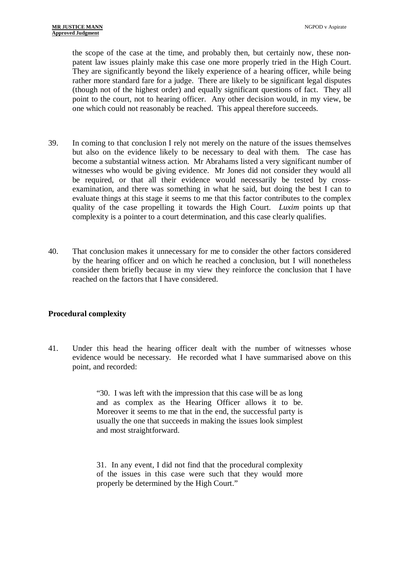the scope of the case at the time, and probably then, but certainly now, these nonpatent law issues plainly make this case one more properly tried in the High Court. They are significantly beyond the likely experience of a hearing officer, while being rather more standard fare for a judge. There are likely to be significant legal disputes (though not of the highest order) and equally significant questions of fact. They all point to the court, not to hearing officer. Any other decision would, in my view, be one which could not reasonably be reached. This appeal therefore succeeds.

- 39. In coming to that conclusion I rely not merely on the nature of the issues themselves but also on the evidence likely to be necessary to deal with them. The case has become a substantial witness action. Mr Abrahams listed a very significant number of witnesses who would be giving evidence. Mr Jones did not consider they would all be required, or that all their evidence would necessarily be tested by crossexamination, and there was something in what he said, but doing the best I can to evaluate things at this stage it seems to me that this factor contributes to the complex quality of the case propelling it towards the High Court. *Luxim* points up that complexity is a pointer to a court determination, and this case clearly qualifies.
- 40. That conclusion makes it unnecessary for me to consider the other factors considered by the hearing officer and on which he reached a conclusion, but I will nonetheless consider them briefly because in my view they reinforce the conclusion that I have reached on the factors that I have considered.

### **Procedural complexity**

41. Under this head the hearing officer dealt with the number of witnesses whose evidence would be necessary. He recorded what I have summarised above on this point, and recorded:

> "30. I was left with the impression that this case will be as long and as complex as the Hearing Officer allows it to be. Moreover it seems to me that in the end, the successful party is usually the one that succeeds in making the issues look simplest and most straightforward.

> 31. In any event, I did not find that the procedural complexity of the issues in this case were such that they would more properly be determined by the High Court."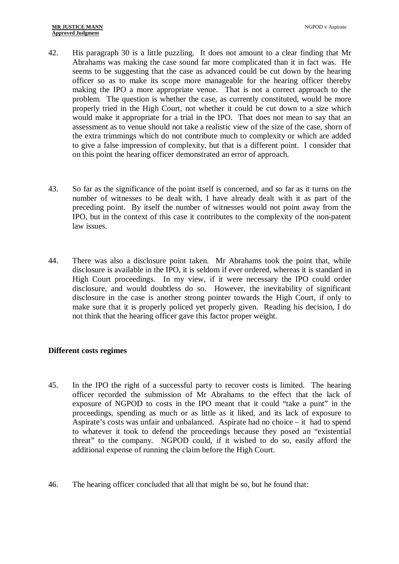- 42. His paragraph 30 is a little puzzling. It does not amount to a clear finding that Mr Abrahams was making the case sound far more complicated than it in fact was. He seems to be suggesting that the case as advanced could be cut down by the hearing officer so as to make its scope more manageable for the hearing officer thereby making the IPO a more appropriate venue. That is not a correct approach to the problem. The question is whether the case, as currently constituted, would be more properly tried in the High Court, not whether it could be cut down to a size which would make it appropriate for a trial in the IPO. That does not mean to say that an assessment as to venue should not take a realistic view of the size of the case, shorn of the extra trimmings which do not contribute much to complexity or which are added to give a false impression of complexity, but that is a different point. I consider that on this point the hearing officer demonstrated an error of approach.
- 43. So far as the significance of the point itself is concerned, and so far as it turns on the number of witnesses to be dealt with, I have already dealt with it as part of the preceding point. By itself the number of witnesses would not point away from the IPO, but in the context of this case it contributes to the complexity of the non-patent law issues.
- 44. There was also a disclosure point taken. Mr Abrahams took the point that, while disclosure is available in the IPO, it is seldom if ever ordered, whereas it is standard in High Court proceedings. In my view, if it were necessary the IPO could order disclosure, and would doubtless do so. However, the inevitability of significant disclosure in the case is another strong pointer towards the High Court, if only to make sure that it is properly policed yet properly given. Reading his decision, I do not think that the hearing officer gave this factor proper weight.

### **Different costs regimes**

- 45. In the IPO the right of a successful party to recover costs is limited. The hearing officer recorded the submission of Mr Abrahams to the effect that the lack of exposure of NGPOD to costs in the IPO meant that it could "take a punt" in the proceedings, spending as much or as little as it liked, and its lack of exposure to Aspirate's costs was unfair and unbalanced. Aspirate had no choice – it had to spend to whatever it took to defend the proceedings because they posed an "existential threat" to the company. NGPOD could, if it wished to do so, easily afford the additional expense of running the claim before the High Court.
- 46. The hearing officer concluded that all that might be so, but he found that: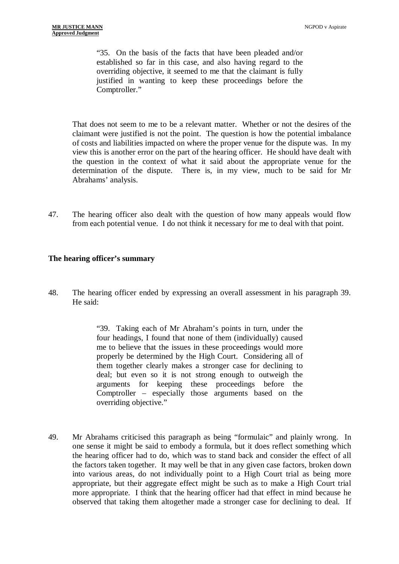"35. On the basis of the facts that have been pleaded and/or established so far in this case, and also having regard to the overriding objective, it seemed to me that the claimant is fully justified in wanting to keep these proceedings before the Comptroller."

That does not seem to me to be a relevant matter. Whether or not the desires of the claimant were justified is not the point. The question is how the potential imbalance of costs and liabilities impacted on where the proper venue for the dispute was. In my view this is another error on the part of the hearing officer. He should have dealt with the question in the context of what it said about the appropriate venue for the determination of the dispute. There is, in my view, much to be said for Mr Abrahams' analysis.

47. The hearing officer also dealt with the question of how many appeals would flow from each potential venue. I do not think it necessary for me to deal with that point.

#### **The hearing officer's summary**

48. The hearing officer ended by expressing an overall assessment in his paragraph 39. He said:

> "39. Taking each of Mr Abraham's points in turn, under the four headings, I found that none of them (individually) caused me to believe that the issues in these proceedings would more properly be determined by the High Court. Considering all of them together clearly makes a stronger case for declining to deal; but even so it is not strong enough to outweigh the arguments for keeping these proceedings before the Comptroller – especially those arguments based on the overriding objective."

49. Mr Abrahams criticised this paragraph as being "formulaic" and plainly wrong. In one sense it might be said to embody a formula, but it does reflect something which the hearing officer had to do, which was to stand back and consider the effect of all the factors taken together. It may well be that in any given case factors, broken down into various areas, do not individually point to a High Court trial as being more appropriate, but their aggregate effect might be such as to make a High Court trial more appropriate. I think that the hearing officer had that effect in mind because he observed that taking them altogether made a stronger case for declining to deal. If